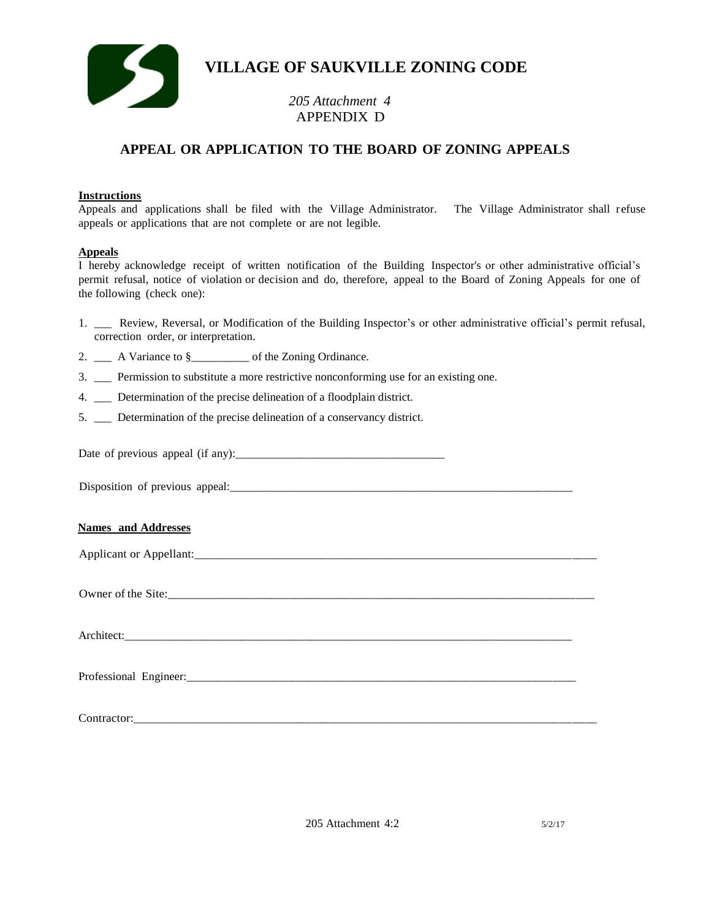

# **VILLAGE OF SAUKVILLE ZONING CODE**

## *205 Attachment 4* APPENDIX D

### **APPEAL OR APPLICATION TO THE BOARD OF ZONING APPEALS**

#### **Instructions**

Appeals and applications shall be filed with the Village Administrator. The Village Administrator shall refuse appeals or applications that are not complete or are not legible.

#### **Appeals**

I hereby acknowledge receipt of written notification of the Building Inspector's or other administrative official's permit refusal, notice of violation or decision and do, therefore, appeal to the Board of Zoning Appeals for one of the following (check one):

- 1. \_\_\_ Review, Reversal, or Modification of the Building Inspector's or other administrative official's permit refusal, correction order, or interpretation.
- 2. \_\_\_ A Variance to §\_\_\_\_\_\_\_\_\_ of the Zoning Ordinance.
- 3. \_\_\_ Permission to substitute a more restrictive nonconforming use for an existing one.
- 4. \_\_\_ Determination of the precise delineation of a floodplain district.
- 5. \_\_\_ Determination of the precise delineation of a conservancy district.

Date of previous appeal (if any):\_\_\_\_\_\_\_\_\_\_\_\_\_\_\_\_\_\_\_\_\_\_\_\_\_\_\_\_\_\_\_\_\_\_\_\_

Disposition of previous appeal:

#### **Names and Addresses**

| Applicant or Appellant: |  |  |
|-------------------------|--|--|
|                         |  |  |
|                         |  |  |
| Owner of the Site:      |  |  |

Architect:

Professional Engineer:

Contractor:\_\_\_\_\_\_\_\_\_\_\_\_\_\_\_\_\_\_\_\_\_\_\_\_\_\_\_\_\_\_\_\_\_\_\_\_\_\_\_\_\_\_\_\_\_\_\_\_\_\_\_\_\_\_\_\_\_\_\_\_\_\_\_\_\_\_\_\_\_\_\_\_\_\_\_\_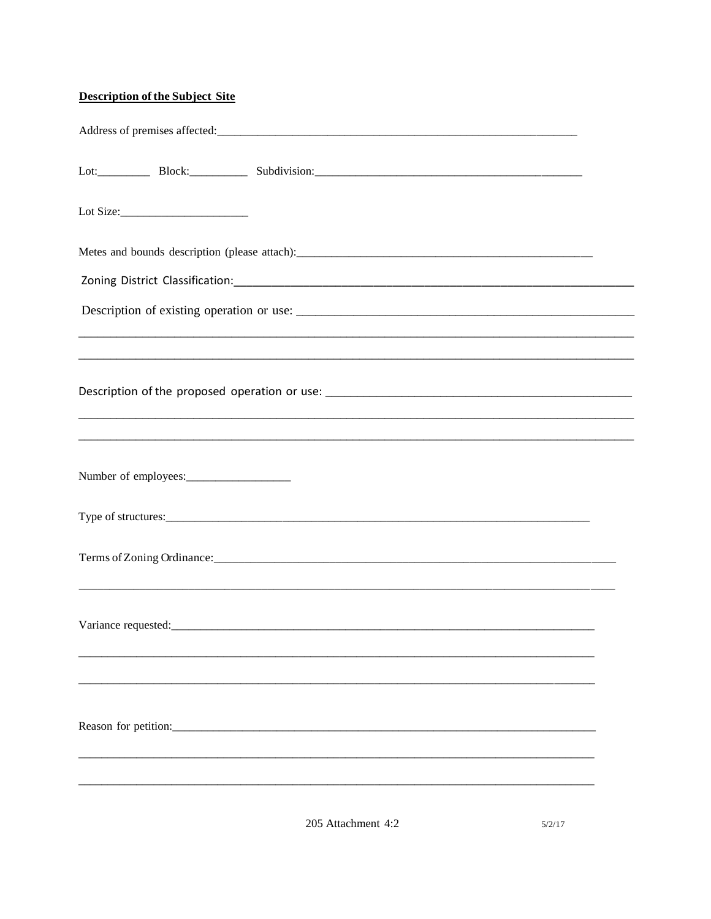### **Description of the Subject Site**

| Lot Size: $\_\_$ |                                                                                                                                                                                                                                      |  |
|------------------|--------------------------------------------------------------------------------------------------------------------------------------------------------------------------------------------------------------------------------------|--|
|                  |                                                                                                                                                                                                                                      |  |
|                  |                                                                                                                                                                                                                                      |  |
|                  |                                                                                                                                                                                                                                      |  |
|                  |                                                                                                                                                                                                                                      |  |
|                  | ,我们也不能在这里的人,我们也不能在这里的人,我们也不能在这里的人,我们也不能在这里的人,我们也不能在这里的人,我们也不能在这里的人,我们也不能在这里的人,我们也                                                                                                                                                    |  |
|                  |                                                                                                                                                                                                                                      |  |
|                  |                                                                                                                                                                                                                                      |  |
|                  |                                                                                                                                                                                                                                      |  |
|                  |                                                                                                                                                                                                                                      |  |
|                  | Variance requested: <u>contract and contract and contract and contract and contract and contract and contract and contract and contract and contract and contract and contract and contract and contract and contract and contra</u> |  |
|                  |                                                                                                                                                                                                                                      |  |
|                  |                                                                                                                                                                                                                                      |  |
|                  |                                                                                                                                                                                                                                      |  |
|                  |                                                                                                                                                                                                                                      |  |